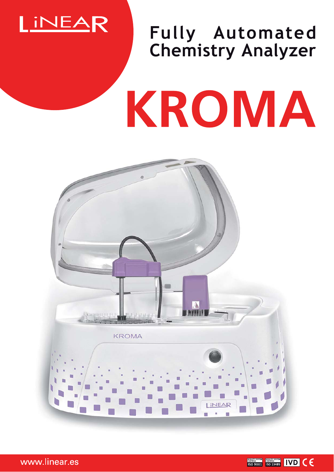

## **Fully Automated Chemistry Analyzer**

# KROMA